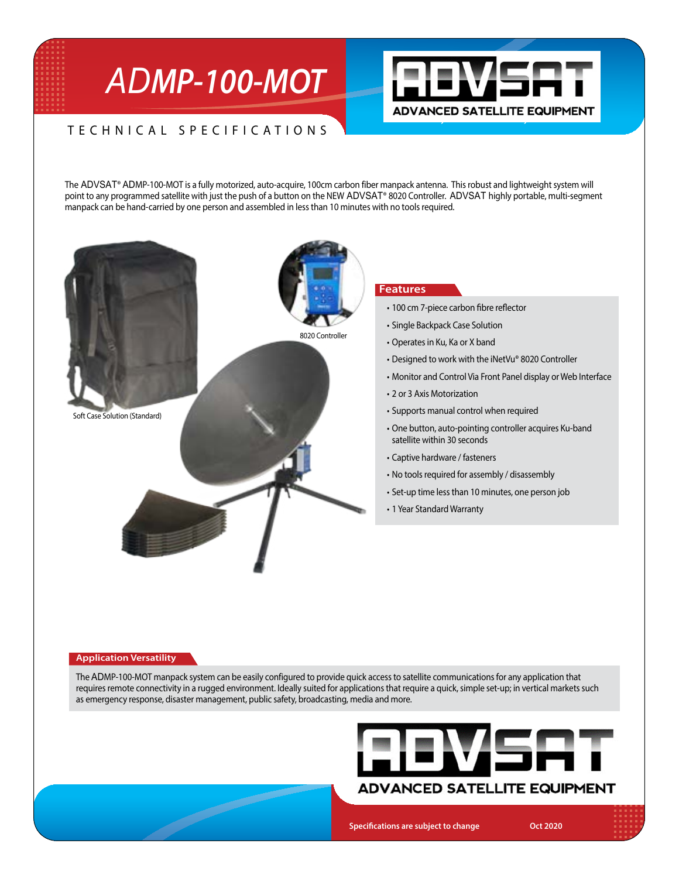# *ADMP-100-MOT*



# TECHNICAL SPECIFICATIONS

The ADVSAT® ADMP-100-MOT is a fully motorized, auto-acquire, 100cm carbon fiber manpack antenna. This robust and lightweight system will point to any programmed satellite with just the push of a button on the NEW ADVSAT® 8020 Controller. ADVSAT highly portable, multi-segment manpack can be hand-carried by one person and assembled in lessthan 10 minutes with no toolsrequired.



**September 1898** 

## **Features**

- 100 cm 7-piece carbon fibre reflector
- Single Backpack Case Solution
- Operates in Ku, Ka or X band
- Designed to work with the iNetVu® 8020 Controller
- Monitor and Control Via Front Panel display or Web Interface
- 2 or 3 Axis Motorization
- Supports manual control when required
- One button, auto-pointing controller acquires Ku-band satellite within 30 seconds
- Captive hardware / fasteners
- No tools required for assembly / disassembly
- Set-up time less than 10 minutes, one person job
- 1 Year Standard Warranty

#### **Application Versatility**

The ADMP-100-MOT manpack system can be easily configured to provide quick access to satellite communications for any application that requires remote connectivity in a rugged environment. Ideally suited for applications that require a quick, simple set-up; in vertical markets such as emergency response, disaster management, public safety, broadcasting, media and more.